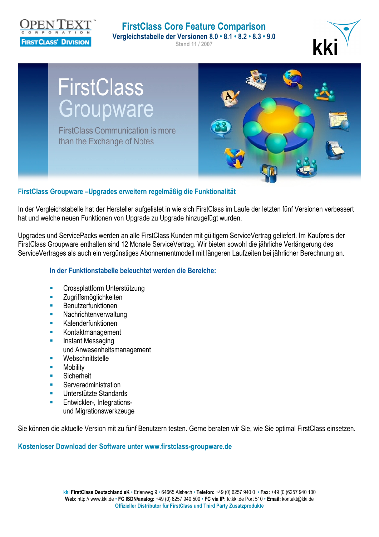

### **FirstClass Core Feature Comparison Vergleichstabelle der Versionen 8.0 • 8.1 • 8.2 • 8.3 • 9.0 Stand 11 / 2007**





## **FirstClass Groupware –Upgrades erweitern regelmäßig die Funktionalität**

In der Vergleichstabelle hat der Hersteller aufgelistet in wie sich FirstClass im Laufe der letzten fünf Versionen verbessert hat und welche neuen Funktionen von Upgrade zu Upgrade hinzugefügt wurden.

Upgrades und ServicePacks werden an alle FirstClass Kunden mit gültigem ServiceVertrag geliefert. Im Kaufpreis der FirstClass Groupware enthalten sind 12 Monate ServiceVertrag. Wir bieten sowohl die jährliche Verlängerung des ServiceVertrages als auch ein vergünstiges Abonnementmodell mit längeren Laufzeiten bei jährlicher Berechnung an.

## **In der Funktionstabelle beleuchtet werden die Bereiche:**

- Crossplattform Unterstützung
- **E** Zugriffsmöglichkeiten
- **Benutzerfunktionen**
- **Nachrichtenverwaltung**
- **Kalenderfunktionen**
- **Kontaktmanagement**
- Instant Messaging und Anwesenheitsmanagement
- **Webschnittstelle**
- **Mobility**
- Sicherheit
- **Serveradministration**
- Unterstützte Standards
- **Entwickler-, Integrations**und Migrationswerkzeuge

Sie können die aktuelle Version mit zu fünf Benutzern testen. Gerne beraten wir Sie, wie Sie optimal FirstClass einsetzen.

## **Kostenloser Download der Software unter www.firstclass-groupware.de**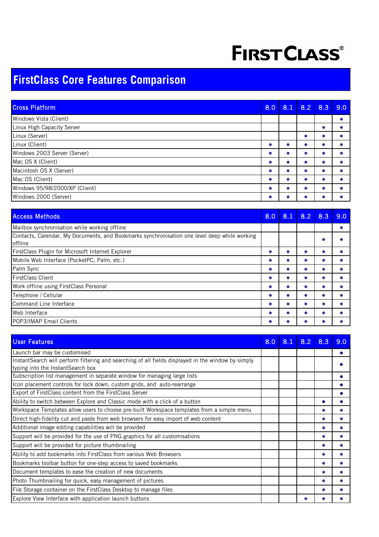# **FIRST CLASS®**

## **FirstClass Core Features Comparison**

| <b>Cross Platform</b>          | 8.0 | 8.1 | 8.2 | 8.3 | 9.0 |
|--------------------------------|-----|-----|-----|-----|-----|
| Windows Vista (Client)         |     |     |     |     |     |
| Linux High Capacity Server     |     |     |     |     |     |
| Linux (Server)                 |     |     |     |     |     |
| Linux (Client)                 |     |     |     |     |     |
| Windows 2003 Server (Server)   |     |     |     |     |     |
| Mac OS X (Client)              |     |     |     |     |     |
| Macintosh OS X (Server)        |     |     |     |     |     |
| Mac OS (Client)                |     |     |     |     |     |
| Windows 95/98/2000/XP (Client) |     |     |     |     |     |
| Windows 2000 (Server)          |     |     |     |     |     |

| <b>Access Methods</b>                                                                                   | 8.0 | 8.1 | 8.2 | 8.3 | 9.0 |
|---------------------------------------------------------------------------------------------------------|-----|-----|-----|-----|-----|
| Mailbox synchronisation while working offline                                                           |     |     |     |     |     |
| Contacts, Calendar, My Documents, and Bookmarks synchronisation one level deep while working<br>offline |     |     |     |     |     |
| FirstClass Plugin for Microsoft Internet Explorer                                                       |     |     |     |     |     |
| Mobile Web Interface (PocketPC, Palm, etc.)                                                             |     |     |     |     |     |
| Palm Sync                                                                                               |     |     |     |     |     |
| <b>FirstClass Client</b>                                                                                |     |     |     |     |     |
| Work offline using FirstClass Personal                                                                  |     |     |     |     |     |
| Telephone / Cellular                                                                                    |     |     |     |     |     |
| Command Line Interface                                                                                  |     |     |     |     |     |
| Web Interface                                                                                           |     |     |     |     |     |
| <b>POP3/IMAP Email Clients</b>                                                                          |     |     |     |     |     |

| <b>User Features</b>                                                                                | 8.0 | 8.1 | 8.2 | 8.3 | 9.0 |
|-----------------------------------------------------------------------------------------------------|-----|-----|-----|-----|-----|
| Launch bar may be customised                                                                        |     |     |     |     |     |
| Instant Search will perform filtering and searching of all fields displayed in the window by simply |     |     |     |     |     |
| typing into the InstantSearch box                                                                   |     |     |     |     |     |
| Subscription list management in separate window for managing large lists                            |     |     |     |     |     |
| Icon placement controls for lock down, custom grids, and auto-rearrange                             |     |     |     |     |     |
| Export of FirstClass content from the FirstClass Server                                             |     |     |     |     |     |
| Ability to switch between Explore and Classic mode with a click of a button                         |     |     |     |     |     |
| Workspace Templates allow users to choose pre-built Workspace templates from a simple menu          |     |     |     |     |     |
| Direct high-fidelity cut and paste from web browsers for easy import of web content                 |     |     |     |     |     |
| Additional image editing capabilities will be provided                                              |     |     |     |     |     |
| Support will be provided for the use of PNG graphics for all customisations                         |     |     |     |     |     |
| Support will be provided for picture thumbnailing                                                   |     |     |     |     |     |
| Ability to add bookmarks into FirstClass from various Web Browsers                                  |     |     |     |     |     |
| Bookmarks toolbar button for one-step access to saved bookmarks                                     |     |     |     |     |     |
| Document templates to ease the creation of new documents                                            |     |     |     |     |     |
| Photo Thumbnailing for quick, easy management of pictures                                           |     |     |     |     |     |
| File Storage container on the FirstClass Desktop to manage files                                    |     |     |     |     |     |
| Explore View Interface with application launch buttons                                              |     |     |     |     |     |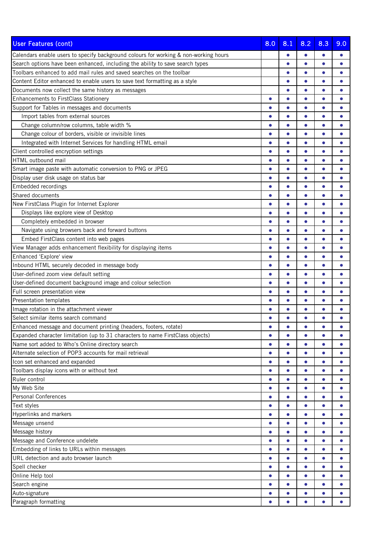| <b>User Features (cont)</b>                                                          | 8.0       | 8.1       | 8.2       | 8.3       | 9.0       |
|--------------------------------------------------------------------------------------|-----------|-----------|-----------|-----------|-----------|
| Calendars enable users to specify background colours for working & non-working hours |           |           | $\bullet$ | 0         |           |
| Search options have been enhanced, including the ability to save search types        |           | $\bullet$ | $\bullet$ | $\bullet$ |           |
| Toolbars enhanced to add mail rules and saved searches on the toolbar                |           | $\bullet$ | $\bullet$ | $\bullet$ |           |
| Content Editor enhanced to enable users to save text formatting as a style           |           | $\bullet$ | $\bullet$ |           |           |
| Documents now collect the same history as messages                                   |           |           | Ċ         |           |           |
| Enhancements to FirstClass Stationery                                                | $\bullet$ | $\bullet$ | $\bullet$ | $\bullet$ | $\bullet$ |
| Support for Tables in messages and documents                                         | $\bullet$ | $\bullet$ | $\bullet$ | $\bullet$ |           |
| Import tables from external sources                                                  |           |           | $\bullet$ | $\bullet$ |           |
| Change column/row columns, table width %                                             |           |           | $\bullet$ |           |           |
| Change colour of borders, visible or invisible lines                                 | $\bullet$ | $\bullet$ | $\bullet$ | $\bullet$ |           |
| Integrated with Internet Services for handling HTML email                            | $\bullet$ | $\bullet$ | $\bullet$ |           |           |
| Client controlled encryption settings                                                |           |           | $\bullet$ |           |           |
| HTML outbound mail                                                                   | $\bullet$ | $\bullet$ | $\bullet$ | $\bullet$ |           |
| Smart image paste with automatic conversion to PNG or JPEG                           | $\bullet$ | $\bullet$ | $\bullet$ | $\bullet$ |           |
| Display user disk usage on status bar                                                |           |           | $\bullet$ |           |           |
| Embedded recordings                                                                  | $\bullet$ | $\bullet$ | $\bullet$ | $\bullet$ |           |
| Shared documents                                                                     | $\bullet$ | $\bullet$ | $\bullet$ | $\bullet$ |           |
| New FirstClass Plugin for Internet Explorer                                          | ●         |           | $\bullet$ |           |           |
| Displays like explore view of Desktop                                                |           |           | C         |           |           |
| Completely embedded in browser                                                       | $\bullet$ | $\bullet$ | $\bullet$ | $\bullet$ |           |
| Navigate using browsers back and forward buttons                                     |           |           | $\bullet$ |           |           |
| Embed FirstClass content into web pages                                              |           |           | $\bullet$ |           |           |
| View Manager adds enhancement flexibility for displaying items                       | $\bullet$ | $\bullet$ | $\bullet$ | $\bullet$ |           |
| Enhanced 'Explore' view                                                              | $\bullet$ | $\bullet$ | $\bullet$ | $\bullet$ |           |
| Inbound HTML securely decoded in message body                                        | ●         |           | $\bullet$ |           |           |
| User-defined zoom view default setting                                               | ●         | $\bullet$ | $\bullet$ | $\bullet$ |           |
| User-defined document background image and colour selection                          | $\bullet$ | $\bullet$ | $\bullet$ | $\bullet$ |           |
| Full screen presentation view                                                        | $\bullet$ | $\bullet$ | $\bullet$ | $\bullet$ |           |
| Presentation templates                                                               |           |           | C         |           |           |
| Image rotation in the attachment viewer                                              |           |           |           |           |           |
| Select similar items search command                                                  |           |           | $\bullet$ |           |           |
| Enhanced message and document printing (headers, footers, rotate)                    | ●         |           | $\bullet$ | $\bullet$ | $\bullet$ |
| Expanded character limitation (up to 31 characters to name FirstClass objects)       | $\bullet$ | $\bullet$ | $\bullet$ | ●         |           |
| Name sort added to Who's Online directory search                                     | $\bullet$ | $\bullet$ | $\bullet$ | $\bullet$ | $\bullet$ |
| Alternate selection of POP3 accounts for mail retrieval                              | $\bullet$ | $\bullet$ | $\bullet$ | $\bullet$ | $\bullet$ |
| Icon set enhanced and expanded                                                       | $\bullet$ | $\bullet$ | $\bullet$ | $\bullet$ | $\bullet$ |
| Toolbars display icons with or without text                                          | $\bullet$ | $\bullet$ | $\bullet$ | $\bullet$ | $\bullet$ |
| Ruler control                                                                        | $\bullet$ | $\bullet$ | $\bullet$ | $\bullet$ | $\bullet$ |
| My Web Site                                                                          | $\bullet$ | $\bullet$ | $\bullet$ | $\bullet$ |           |
| <b>Personal Conferences</b>                                                          | $\bullet$ | $\bullet$ | $\bullet$ | $\bullet$ | $\bullet$ |
| Text styles                                                                          | $\bullet$ | $\bullet$ | $\bullet$ | $\bullet$ | $\bullet$ |
| Hyperlinks and markers                                                               | $\bullet$ | $\bullet$ | $\bullet$ | $\bullet$ | $\bullet$ |
| Message unsend                                                                       | $\bullet$ | $\bullet$ | $\bullet$ | $\bullet$ | $\bullet$ |
| Message history                                                                      | $\bullet$ | $\bullet$ | $\bullet$ | $\bullet$ | $\bullet$ |
| Message and Conference undelete                                                      | $\bullet$ | $\bullet$ | $\bullet$ | $\bullet$ | $\bullet$ |
| Embedding of links to URLs within messages                                           | $\bullet$ | $\bullet$ | $\bullet$ | $\bullet$ |           |
| URL detection and auto browser launch                                                | $\bullet$ | $\bullet$ | $\bullet$ | $\bullet$ | $\bullet$ |
| Spell checker                                                                        | $\bullet$ | $\bullet$ | $\bullet$ | $\bullet$ | $\bullet$ |
| Online Help tool                                                                     | $\bullet$ | $\bullet$ | $\bullet$ | ٠         | $\bullet$ |
| Search engine                                                                        | $\bullet$ | $\bullet$ | $\bullet$ | $\bullet$ | $\bullet$ |
| Auto-signature                                                                       | $\bullet$ | $\bullet$ | $\bullet$ | $\bullet$ | $\bullet$ |
| Paragraph formatting                                                                 |           |           |           |           |           |
|                                                                                      |           |           |           |           |           |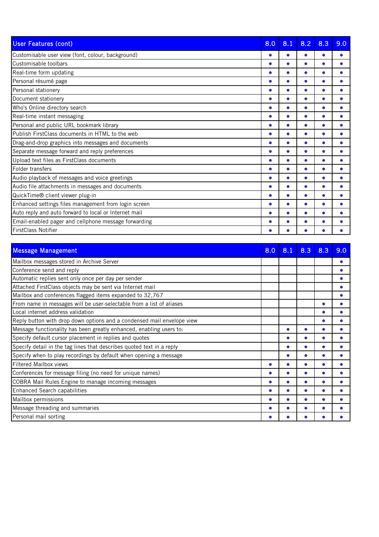| <b>User Features (cont)</b>                           | 8.0       | 8.1       | 8.2 | 8.3 | 9.0 |
|-------------------------------------------------------|-----------|-----------|-----|-----|-----|
| Customisable user view (font, colour, background)     |           |           |     |     |     |
| Customisable toolbars                                 |           |           |     |     |     |
| Real-time form updating                               |           |           |     |     |     |
| Personal résumé page                                  |           |           |     |     |     |
| Personal stationery                                   |           |           |     |     |     |
| Document stationery                                   |           |           |     |     |     |
| Who's Online directory search                         |           |           |     |     |     |
| Real-time instant messaging                           |           |           |     |     |     |
| Personal and public URL bookmark library              |           |           |     |     |     |
| Publish FirstClass documents in HTML to the web       |           |           | Δ   |     |     |
| Drag-and-drop graphics into messages and documents    |           |           |     |     |     |
| Separate message forward and reply preferences        |           |           |     |     |     |
| Upload text files as FirstClass documents             |           |           |     |     |     |
| Folder transfers                                      |           |           |     |     |     |
| Audio playback of messages and voice greetings        |           |           |     |     |     |
| Audio file attachments in messages and documents      | ●         | $\bullet$ | Δ   |     |     |
| QuickTime® client viewer plug-in                      |           |           |     |     |     |
| Enhanced settings files management from login screen  |           |           |     |     |     |
| Auto reply and auto forward to local or Internet mail | $\bullet$ |           |     |     |     |
| Email-enabled pager and cellphone message forwarding  |           |           |     |     |     |
| <b>FirstClass Notifier</b>                            |           |           |     |     |     |

| <b>Message Management</b>                                              | 8.0 | 8.1 | 8.3 | 8.3 | 9.0 |
|------------------------------------------------------------------------|-----|-----|-----|-----|-----|
| Mailbox messages stored in Archive Server                              |     |     |     |     |     |
| Conference send and reply                                              |     |     |     |     |     |
| Automatic replies sent only once per day per sender                    |     |     |     |     |     |
| Attached FirstClass objects may be sent via Internet mail              |     |     |     |     |     |
| Mailbox and conferences flagged items expanded to 32,767               |     |     |     |     |     |
| From name in messages will be user-selectable from a list of aliases   |     |     |     |     |     |
| Local internet address validation                                      |     |     |     |     |     |
| Reply button with drop down options and a condensed mail envelope view |     |     |     |     |     |
| Message functionality has been greatly enhanced, enabling users to:    |     |     |     |     |     |
| Specify default cursor placement in replies and quotes                 |     |     |     |     |     |
| Specify detail in the tag lines that describes quoted text in a reply  |     |     |     |     |     |
| Specify when to play recordings by default when opening a message      |     |     |     |     |     |
| Filtered Mailbox views                                                 |     |     |     |     |     |
| Conferences for message filing (no need for unique names)              | ●   | ●   |     |     |     |
| COBRA Mail Rules Engine to manage incoming messages                    |     |     |     |     |     |
| <b>Enhanced Search capabilities</b>                                    |     |     |     |     |     |
| Mailbox permissions                                                    |     |     |     |     |     |
| Message threading and summaries                                        |     |     |     |     |     |
| Personal mail sorting                                                  |     |     |     |     |     |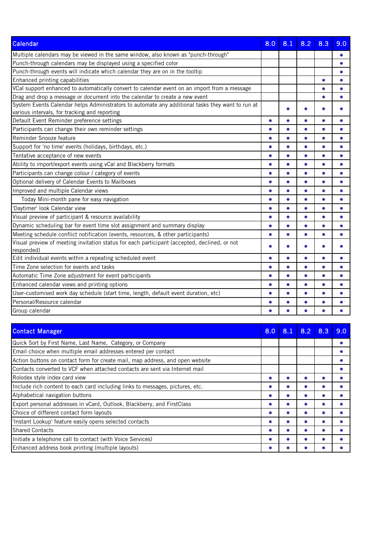| <b>Calendar</b>                                                                                                                                   | 8.0       | 8.1       | 8.2       | 8.3       | 9.0       |
|---------------------------------------------------------------------------------------------------------------------------------------------------|-----------|-----------|-----------|-----------|-----------|
| Multiple calendars may be viewed in the same window, also known as "punch-through"                                                                |           |           |           |           |           |
| Punch-through calendars may be displayed using a specified color                                                                                  |           |           |           |           | $\bullet$ |
| Punch-through events will indicate which calendar they are on in the tooltip                                                                      |           |           |           |           | $\bullet$ |
| Enhanced printing capabilities                                                                                                                    |           |           |           |           | $\bullet$ |
| VCal support enhanced to automatically convert to calendar event on an import from a message                                                      |           |           |           |           |           |
| Drag and drop a message or document into the calendar to create a new event                                                                       |           |           |           |           |           |
| System Events Calendar helps Administrators to automate any additional tasks they want to run at<br>various intervals, for tracking and reporting |           |           |           |           |           |
| Default Event Reminder preference settings                                                                                                        | $\bullet$ | $\bullet$ | ۸         |           |           |
| Participants can change their own reminder settings                                                                                               | $\bullet$ | $\bullet$ | $\bullet$ | $\bullet$ |           |
| Reminder Snooze feature                                                                                                                           |           | $\bullet$ | $\bullet$ | $\bullet$ |           |
| Support for 'no time' events (holidays, birthdays, etc.)                                                                                          | $\bullet$ | $\bullet$ | $\bullet$ | $\bullet$ |           |
| Tentative acceptance of new events                                                                                                                | $\bullet$ | $\bullet$ | $\bullet$ |           |           |
| Ability to import/export events using vCal and Blackberry formats                                                                                 |           | $\bullet$ | $\bullet$ | ≏         |           |
| Participants can change colour / category of events                                                                                               | $\bullet$ | $\bullet$ | $\bullet$ | $\bullet$ |           |
| Optional delivery of Calendar Events to Mailboxes                                                                                                 | $\bullet$ | $\bullet$ | $\bullet$ | $\bullet$ |           |
| Improved and multiple Calendar views                                                                                                              |           | $\bullet$ | $\bullet$ | $\bullet$ |           |
| Today Mini-month pane for easy navigation                                                                                                         | $\bullet$ | $\bullet$ | $\bullet$ | $\bullet$ |           |
| 'Daytimer' look Calendar view                                                                                                                     | $\bullet$ | $\bullet$ | $\bullet$ |           |           |
| Visual preview of participant & resource availability                                                                                             | ●         | $\bullet$ | $\bullet$ |           |           |
| Dynamic scheduling bar for event time slot assignment and summary display                                                                         | $\bullet$ | $\bullet$ | $\bullet$ | $\bullet$ |           |
| Meeting schedule conflict notification (events, resources, & other participants)                                                                  | $\bullet$ | $\bullet$ | $\bullet$ | $\bullet$ |           |
| Visual preview of meeting invitation status for each participant (accepted, declined, or not<br>responded)                                        |           |           |           |           |           |
| Edit individual events within a repeating scheduled event                                                                                         | ▲         | $\bullet$ | $\bullet$ | $\bullet$ |           |
| Time Zone selection for events and tasks                                                                                                          | $\bullet$ | $\bullet$ | $\bullet$ | $\bullet$ |           |
| Automatic Time Zone adjustment for event participants                                                                                             | $\bullet$ | $\bullet$ | $\bullet$ |           |           |
| Enhanced calendar views and printing options                                                                                                      |           |           | $\bullet$ |           |           |
| User-customised work day schedule (start time, length, default event duration, etc)                                                               | $\bullet$ | $\bullet$ | $\bullet$ |           |           |
| Personal/Resource calendar                                                                                                                        |           |           |           |           |           |
| Group calendar                                                                                                                                    |           |           |           |           |           |

| <b>Contact Manager</b>                                                        | 8.0 | 8.1 | 8.2 | 8.3 | 9.0 |
|-------------------------------------------------------------------------------|-----|-----|-----|-----|-----|
| Quick Sort by First Name, Last Name, Category, or Company                     |     |     |     |     |     |
| Email choice when multiple email addresses entered per contact                |     |     |     |     |     |
| Action buttons on contact form for create mail, map address, and open website |     |     |     |     |     |
| Contacts converted to VCF when attached contacts are sent via Internet mail   |     |     |     |     |     |
| Rolodex style index card view                                                 |     |     |     |     |     |
| Include rich content to each card including links to messages, pictures, etc. |     |     |     |     |     |
| Alphabetical navigation buttons                                               |     |     |     |     |     |
| Export personal addresses in vCard, Outlook, Blackberry, and FirstClass       |     |     |     |     |     |
| Choice of different contact form layouts                                      |     |     |     |     |     |
| 'Instant Lookup' feature easily opens selected contacts                       |     |     |     |     |     |
| <b>Shared Contacts</b>                                                        |     |     |     |     |     |
| Initiate a telephone call to contact (with Voice Services)                    |     |     |     |     |     |
| Enhanced address book printing (multiple layouts)                             |     |     |     |     |     |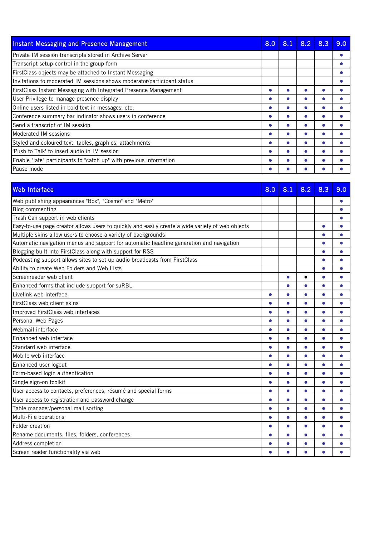| <b>Instant Messaging and Presence Management</b>                        | 8.0 | 8.1 | 8.2 | 8.3 | 9.0 |
|-------------------------------------------------------------------------|-----|-----|-----|-----|-----|
| Private IM session transcripts stored in Archive Server                 |     |     |     |     |     |
| Transcript setup control in the group form                              |     |     |     |     |     |
| FirstClass objects may be attached to Instant Messaging                 |     |     |     |     |     |
| Invitations to moderated IM sessions shows moderator/participant status |     |     |     |     |     |
| <b>FirstClass Instant Messaging with Integrated Presence Management</b> |     |     |     |     |     |
| User Privilege to manage presence display                               |     |     |     |     |     |
| Online users listed in bold text in messages, etc.                      |     |     |     |     |     |
| Conference summary bar indicator shows users in conference              |     |     |     |     |     |
| Send a transcript of IM session                                         |     |     |     |     |     |
| Moderated IM sessions                                                   |     |     |     |     |     |
| Styled and coloured text, tables, graphics, attachments                 |     |     |     |     |     |
| l'Push to Talk' to insert audio in IM session                           |     |     |     |     |     |
| Enable "late" participants to "catch up" with previous information      |     |     |     |     |     |
| Pause mode                                                              |     |     |     |     |     |

| <b>Web Interface</b>                                                                             | 8.0       | 8.1       | 8.2       | 8.3       | 9.0       |
|--------------------------------------------------------------------------------------------------|-----------|-----------|-----------|-----------|-----------|
| Web publishing appearances "Box", "Cosmo" and "Metro"                                            |           |           |           |           | $\bullet$ |
| <b>Blog commenting</b>                                                                           |           |           |           |           | $\bullet$ |
| Trash Can support in web clients                                                                 |           |           |           |           |           |
| Easy-to-use page creator allows users to quickly and easily create a wide variety of web objects |           |           |           |           |           |
| Multiple skins allow users to choose a variety of backgrounds                                    |           |           |           | $\bullet$ |           |
| Automatic navigation menus and support for automatic headline generation and navigation          |           |           |           |           |           |
| Blogging built into FirstClass along with support for RSS                                        |           |           |           |           |           |
| Podcasting support allows sites to set up audio broadcasts from FirstClass                       |           |           |           |           |           |
| Ability to create Web Folders and Web Lists                                                      |           |           |           |           |           |
| Screenreader web client                                                                          |           | $\bullet$ | $\bullet$ | $\bullet$ |           |
| Enhanced forms that include support for suRBL                                                    |           | $\bullet$ | $\bullet$ |           |           |
| Livelink web interface                                                                           | $\bullet$ | $\bullet$ | $\bullet$ | $\bullet$ | $\bullet$ |
| FirstClass web client skins                                                                      |           | $\bullet$ | $\bullet$ |           |           |
| Improved FirstClass web interfaces                                                               | $\bullet$ | $\bullet$ | $\bullet$ | $\bullet$ | $\bullet$ |
| Personal Web Pages                                                                               | $\bullet$ | $\bullet$ | $\bullet$ |           |           |
| Webmail interface                                                                                | $\bullet$ | $\bullet$ | $\bullet$ |           |           |
| Enhanced web interface                                                                           | $\bullet$ | $\bullet$ | $\bullet$ | $\bullet$ |           |
| Standard web interface                                                                           | $\bullet$ | $\bullet$ | $\bullet$ |           |           |
| Mobile web interface                                                                             | $\bullet$ | $\bullet$ | $\bullet$ | $\bullet$ | $\bullet$ |
| Enhanced user logout                                                                             | $\bullet$ | $\bullet$ | $\bullet$ |           |           |
| Form-based login authentication                                                                  |           | $\bullet$ | $\bullet$ | $\bullet$ |           |
| Single sign-on toolkit                                                                           | $\bullet$ | $\bullet$ | $\bullet$ | $\bullet$ |           |
| User access to contacts, preferences, résumé and special forms                                   | $\bullet$ | $\bullet$ | $\bullet$ |           | $\bullet$ |
| User access to registration and password change                                                  | $\bullet$ | $\bullet$ | $\bullet$ |           |           |
| Table manager/personal mail sorting                                                              | $\bullet$ | $\bullet$ | $\bullet$ |           | $\bullet$ |
| Multi-File operations                                                                            |           | $\bullet$ | $\bullet$ |           |           |
| Folder creation                                                                                  | $\bullet$ | $\bullet$ | $\bullet$ | $\bullet$ |           |
| Rename documents, files, folders, conferences                                                    |           | $\bullet$ | $\bullet$ |           |           |
| Address completion                                                                               |           |           |           |           |           |
| Screen reader functionality via web                                                              |           | $\bullet$ | $\bullet$ |           |           |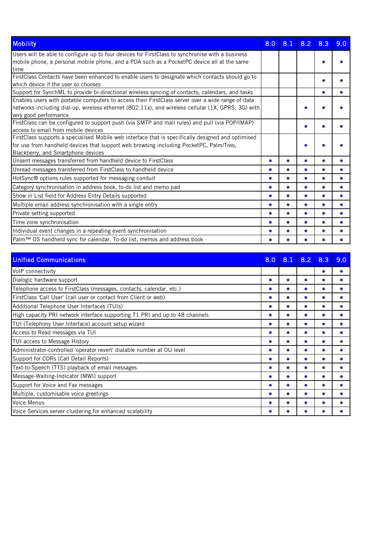| <b>Mobility</b>                                                                                    | 8.0       | 8.1       | 8.2       | 8.3 | 9.0 |
|----------------------------------------------------------------------------------------------------|-----------|-----------|-----------|-----|-----|
| Users will be able to configure up to four devices for FirstClass to synchronise with a business   |           |           |           |     |     |
| mobile phone, a personal mobile phone, and a PDA such as a PocketPC device all at the same<br>time |           |           |           |     |     |
| FirstClass Contacts have been enhanced to enable users to designate which contacts should go to    |           |           |           |     |     |
| which device if the user so chooses                                                                |           |           |           |     |     |
| Support for SynchML to provide bi-directional wireless syncing of contacts, calendars, and tasks   |           |           |           |     |     |
| Enables users with portable computers to access their FirstClass server over a wide range of data  |           |           |           |     |     |
| networks including dial-up, wireless ethernet (802.11x), and wireless cellular (1X, GPRS, 3G) with |           |           |           |     |     |
| very good performance                                                                              |           |           |           |     |     |
| FirstClass can be configured to support push (via SMTP and mail rules) and pull (via POP/IMAP)     |           |           |           |     |     |
| access to email from mobile devices                                                                |           |           |           |     |     |
| FirstClass supports a specialised Mobile web interface that is specifically designed and optimised |           |           |           |     |     |
| for use from handheld devices that support web browsing including PocketPC, Palm/Treo,             |           |           |           |     |     |
| Blackberry, and Smartphone devices                                                                 |           |           |           |     |     |
| Unsent messages transferred from handheld device to FirstClass                                     |           |           |           |     |     |
| Unread messages transferred from FirstClass to handheld device                                     |           |           |           |     |     |
| HotSync® options rules supported for messaging conduit                                             |           | $\bullet$ | Δ         |     |     |
| Category synchronisation in address book, to-do list and memo pad                                  | ●         | $\bullet$ | $\bullet$ |     |     |
| Show in List field for Address Entry Details supported                                             |           | $\bullet$ | $\bullet$ |     |     |
| Multiple email address synchronisation with a single entry                                         | $\bullet$ |           |           |     |     |
| Private setting supported                                                                          |           |           |           |     |     |
| Time zone synchronisation                                                                          |           |           |           |     |     |
| Individual event changes in a repeating event synchronisation                                      |           |           |           |     |     |
| Palm™ OS handheld sync for calendar, To-do list, memos and address book                            |           |           |           |     |     |

| <b>Unified Communications</b>                                               | 8.0 | 8.1 | 8.2 | 8.3 | 9.0 |
|-----------------------------------------------------------------------------|-----|-----|-----|-----|-----|
| VolP connectivity                                                           |     |     |     |     |     |
| Dialogic hardware support                                                   |     |     |     |     |     |
| Telephone access to FirstClass (messages, contacts, calendar, etc.)         |     |     |     |     |     |
| FirstClass 'Call User' (call user or contact from Client or web)            |     |     |     |     |     |
| Additional Telephone User Interfaces (TUIs)                                 |     |     |     |     |     |
| High capacity PRI network interface supporting T1 PRI and up to 48 channels |     |     |     |     |     |
| TUI (Telephony User Interface) account setup wizard                         |     |     |     |     |     |
| Access to Read messages via TUI                                             |     |     |     |     |     |
| TUI access to Message History                                               |     |     |     |     |     |
| Administrator-controlled 'operator revert' dialable number at OU level      |     |     |     |     |     |
| Support for CDRs (Call Detail Reports)                                      |     |     |     |     |     |
| Text-to-Speech (TTS) playback of email messages                             |     |     |     |     |     |
| Message-Waiting-Indicator (MWI) support                                     |     |     |     |     |     |
| Support for Voice and Fax messages                                          |     |     |     |     |     |
| Multiple, customisable voice greetings                                      |     |     |     |     |     |
| Voice Menus                                                                 |     |     |     |     |     |
| Voice Services server clustering for enhanced scalability                   |     |     |     |     |     |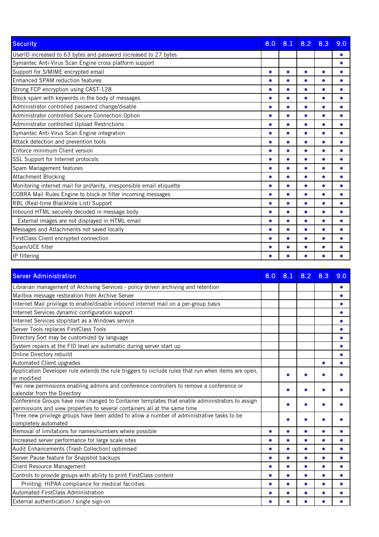| <b>Security</b>                                                       | 8.0       | 8.1       | 8.2       | 8.3       | 9.0 |
|-----------------------------------------------------------------------|-----------|-----------|-----------|-----------|-----|
| UserID increased to 63 bytes and password increased to 27 bytes       |           |           |           |           |     |
| Symantec Anti-Virus Scan Engine cross platform support                |           |           |           |           |     |
| Support for S/MIME encrypted email                                    | $\bullet$ | $\bullet$ |           |           |     |
| Enhanced SPAM reduction features                                      | $\bullet$ | $\bullet$ | $\bullet$ |           |     |
| Strong FCP encryption using CAST-128                                  |           | $\bullet$ |           |           |     |
| Block spam with keywords in the body of messages                      | ●         | $\bullet$ | Δ         |           |     |
| Administrator controlled password change/disable                      | $\bullet$ | $\bullet$ | $\bullet$ |           |     |
| Administrator controlled Secure Connection Option                     | $\bullet$ | $\bullet$ | $\bullet$ | $\bullet$ |     |
| Administrator controlled Upload Restrictions                          | $\bullet$ | $\bullet$ | $\bullet$ |           |     |
| Symantec Anti-Virus Scan Engine integration                           | $\bullet$ | $\bullet$ | ●         |           |     |
| Attack detection and prevention tools                                 |           | $\bullet$ |           |           |     |
| Enforce minimum Client version                                        |           |           |           |           |     |
| SSL Support for Internet protocols                                    |           |           |           |           |     |
| Spam Management features                                              |           |           |           |           |     |
| <b>Attachment Blocking</b>                                            |           |           |           |           |     |
| Monitoring internet mail for profanity, irresponsible email etiquette |           |           |           |           |     |
| COBRA Mail Rules Engine to block or filter incoming messages          | $\bullet$ |           |           |           |     |
| RBL (Real-time Blackhole List) Support                                | $\bullet$ | $\bullet$ | $\bullet$ |           |     |
| Inbound HTML securely decoded in message body                         | $\bullet$ | $\bullet$ | ●         |           |     |
| External images are not displayed in HTML email                       | ●         | $\bullet$ | $\bullet$ |           |     |
| Messages and Attachments not saved locally                            | $\bullet$ | $\bullet$ | $\bullet$ |           |     |
| FirstClass Client encrypted connection                                |           |           |           |           |     |
| Spam/UCE filter                                                       |           |           |           |           |     |
| IP filtering                                                          |           |           |           |           |     |

| <b>Server Administration</b>                                                                                                                                                 | 8.0       | 8.1 | 8.2       | 8.3 | 9.0       |
|------------------------------------------------------------------------------------------------------------------------------------------------------------------------------|-----------|-----|-----------|-----|-----------|
| Librarian management of Archiving Services - policy driven archiving and retention                                                                                           |           |     |           |     |           |
| Mailbox message restoration from Archive Server                                                                                                                              |           |     |           |     | $\bullet$ |
| Internet Mail privilege to enable/disable inbound internet mail on a per-group basis                                                                                         |           |     |           |     |           |
| Internet Services dynamic configuration support                                                                                                                              |           |     |           |     |           |
| Internet Services stop/start as a Windows service                                                                                                                            |           |     |           |     |           |
| Server Tools replaces FirstClass Tools                                                                                                                                       |           |     |           |     |           |
| Directory Sort may be customized by language                                                                                                                                 |           |     |           |     |           |
| System repairs at the FID level are automatic during server start up                                                                                                         |           |     |           |     |           |
| Online Directory rebuild                                                                                                                                                     |           |     |           |     |           |
| Automated Client upgrades                                                                                                                                                    |           |     |           |     |           |
| Application Developer rule extends the rule triggers to include rules that run when items are open,<br>or modified                                                           |           |     |           |     |           |
| Two new permissions enabling admins and conference controllers to remove a conference or<br>calendar from the Directory                                                      |           |     |           |     |           |
| Conference Groups have now changed to Container templates that enable administrators to assign<br>permissions and view properties to several containers all at the same time |           |     |           |     |           |
| Three new privilege groups have been added to allow a number of administrative tasks to be<br>completely automated                                                           |           |     |           |     |           |
| Removal of limitations for names/numbers where possible                                                                                                                      | $\bullet$ |     |           |     |           |
| Increased server performance for large scale sites                                                                                                                           | ●         |     |           |     |           |
| Audit Enhancements (Trash Collection) optimised                                                                                                                              | $\bullet$ |     | $\bullet$ |     |           |
| Server Pause feature for Snapshot backups                                                                                                                                    | $\bullet$ |     | $\bullet$ |     |           |
| <b>Client Resource Management</b>                                                                                                                                            | $\bullet$ |     |           |     |           |
| Controls to provide groups with ability to print FirstClass content                                                                                                          | ●         |     | $\bullet$ |     |           |
| Printing: HIPAA compliance for medical facilities                                                                                                                            | $\bullet$ |     |           |     |           |
| Automated FirstClass Administration                                                                                                                                          | $\bullet$ |     |           |     |           |
| External authentication / single sign-on                                                                                                                                     |           |     |           |     |           |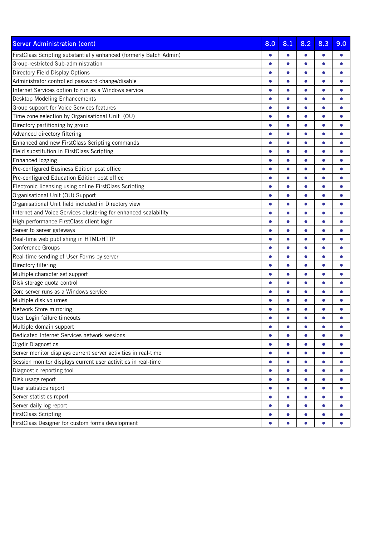| <b>Server Administration (cont)</b>                                | 8.0       | 8.1       | 8.2       | 8.3       | 9.0       |
|--------------------------------------------------------------------|-----------|-----------|-----------|-----------|-----------|
| FirstClass Scripting substantially enhanced (formerly Batch Admin) | $\bullet$ | $\bullet$ | $\bullet$ |           |           |
| Group-restricted Sub-administration                                | ●         | ۸         | $\bullet$ |           |           |
| Directory Field Display Options                                    | $\bullet$ | $\bullet$ | $\bullet$ | $\bullet$ |           |
| Administrator controlled password change/disable                   | $\bullet$ | $\bullet$ | $\bullet$ | $\bullet$ | $\bullet$ |
| Internet Services option to run as a Windows service               | $\bullet$ | $\bullet$ |           |           |           |
| Desktop Modeling Enhancements                                      |           | $\bullet$ | $\bullet$ |           |           |
| Group support for Voice Services features                          | $\bullet$ | $\bullet$ | $\bullet$ | $\bullet$ | $\bullet$ |
| Time zone selection by Organisational Unit (OU)                    | $\bullet$ | $\bullet$ | $\bullet$ | $\bullet$ |           |
| Directory partitioning by group                                    |           | $\bullet$ | $\bullet$ |           |           |
| Advanced directory filtering                                       | $\bullet$ | $\bullet$ | $\bullet$ | $\bullet$ | $\bullet$ |
| Enhanced and new FirstClass Scripting commands                     | $\bullet$ | $\bullet$ | $\bullet$ | $\bullet$ | $\bullet$ |
| Field substitution in FirstClass Scripting                         | ●         | ۸         | ۸         |           |           |
| Enhanced logging                                                   |           | $\bullet$ | $\bullet$ |           |           |
| Pre-configured Business Edition post office                        | $\bullet$ | $\bullet$ | $\bullet$ | $\bullet$ |           |
| Pre-configured Education Edition post office                       | $\bullet$ | $\bullet$ | $\bullet$ |           |           |
| Electronic licensing using online FirstClass Scripting             |           | $\bullet$ | $\bullet$ |           |           |
| Organisational Unit (OU) Support                                   | $\bullet$ | $\bullet$ | $\bullet$ | $\bullet$ | $\bullet$ |
| Organisational Unit field included in Directory view               | $\bullet$ | $\bullet$ | $\bullet$ | $\bullet$ | $\bullet$ |
| Internet and Voice Services clustering for enhanced scalability    | $\bullet$ | $\bullet$ | $\bullet$ |           |           |
| High performance FirstClass client login                           | $\bullet$ | $\bullet$ | $\bullet$ |           |           |
| Server to server gateways                                          | $\bullet$ | $\bullet$ | $\bullet$ | $\bullet$ |           |
| Real-time web publishing in HTML/HTTP                              | $\bullet$ | $\bullet$ | $\bullet$ | $\bullet$ |           |
| Conference Groups                                                  |           | $\bullet$ | $\bullet$ |           |           |
| Real-time sending of User Forms by server                          | $\bullet$ | $\bullet$ | $\bullet$ | $\bullet$ | ●         |
| Directory filtering                                                | $\bullet$ | $\bullet$ | $\bullet$ | $\bullet$ | $\bullet$ |
| Multiple character set support                                     |           | $\bullet$ | $\bullet$ |           |           |
| Disk storage quota control                                         | $\bullet$ | $\bullet$ | $\bullet$ |           |           |
| Core server runs as a Windows service                              | $\bullet$ | $\bullet$ | $\bullet$ | $\bullet$ |           |
| Multiple disk volumes                                              | $\bullet$ | $\bullet$ | $\bullet$ | $\bullet$ |           |
| Network Store mirroring                                            |           |           | Δ         |           |           |
| User Login failure timeouts                                        |           |           |           |           |           |
| Multiple domain support                                            | $\bullet$ | $\bullet$ | $\bullet$ | $\bullet$ | $\bullet$ |
| Dedicated Internet Services network sessions                       | $\bullet$ |           | $\bullet$ | $\bullet$ |           |
| Orgdir Diagnostics                                                 | $\bullet$ | $\bullet$ | $\bullet$ | $\bullet$ | $\bullet$ |
| Server monitor displays current server activities in real-time     | $\bullet$ | $\bullet$ | $\bullet$ | $\bullet$ | $\bullet$ |
| Session monitor displays current user activities in real-time      | $\bullet$ | $\bullet$ | $\bullet$ | $\bullet$ |           |
| Diagnostic reporting tool                                          | $\bullet$ | $\bullet$ | $\bullet$ | $\bullet$ | $\bullet$ |
| Disk usage report                                                  | $\bullet$ | $\bullet$ | $\bullet$ | $\bullet$ | $\bullet$ |
| User statistics report                                             | $\bullet$ | $\bullet$ | $\bullet$ | $\bullet$ |           |
| Server statistics report                                           | $\bullet$ | $\bullet$ | $\bullet$ | $\bullet$ |           |
| Server daily log report                                            | $\bullet$ | $\bullet$ | $\bullet$ | $\bullet$ | $\bullet$ |
| <b>FirstClass Scripting</b>                                        | $\bullet$ | $\bullet$ | $\bullet$ | $\bullet$ | $\bullet$ |
| FirstClass Designer for custom forms development                   | $\bullet$ | $\bullet$ | $\bullet$ | $\bullet$ | $\bullet$ |